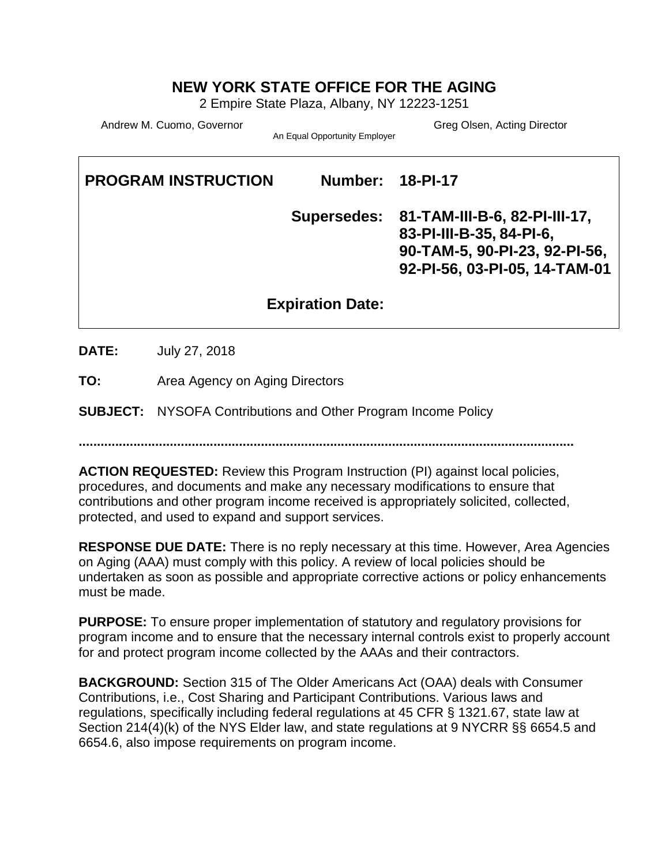# **NEW YORK STATE OFFICE FOR THE AGING**

2 Empire State Plaza, Albany, NY 12223-1251

Andrew M. Cuomo, Governor Greg Olsen, Acting Director Greg Olsen, Acting Director

An Equal Opportunity Employer

**PROGRAM INSTRUCTION Number: 18-PI-17 Supersedes: 81-TAM-III-B-6, 82-PI-III-17, 83-PI-III-B-35, 84-PI-6, 90-TAM-5, 90-PI-23, 92-PI-56, 92-PI-56, 03-PI-05, 14-TAM-01 Expiration Date:** 

**DATE:** July 27, 2018

**TO:** Area Agency on Aging Directors

**SUBJECT:** NYSOFA Contributions and Other Program Income Policy

**........................................................................................................................................**

**ACTION REQUESTED:** Review this Program Instruction (PI) against local policies, procedures, and documents and make any necessary modifications to ensure that contributions and other program income received is appropriately solicited, collected, protected, and used to expand and support services.

**RESPONSE DUE DATE:** There is no reply necessary at this time. However, Area Agencies on Aging (AAA) must comply with this policy. A review of local policies should be undertaken as soon as possible and appropriate corrective actions or policy enhancements must be made.

**PURPOSE:** To ensure proper implementation of statutory and regulatory provisions for program income and to ensure that the necessary internal controls exist to properly account for and protect program income collected by the AAAs and their contractors.

**BACKGROUND:** Section 315 of The Older Americans Act (OAA) deals with Consumer Contributions, i.e., Cost Sharing and Participant Contributions. Various laws and regulations, specifically including federal regulations at 45 CFR § 1321.67, state law at Section 214(4)(k) of the NYS Elder law, and state regulations at 9 NYCRR §§ 6654.5 and 6654.6, also impose requirements on program income.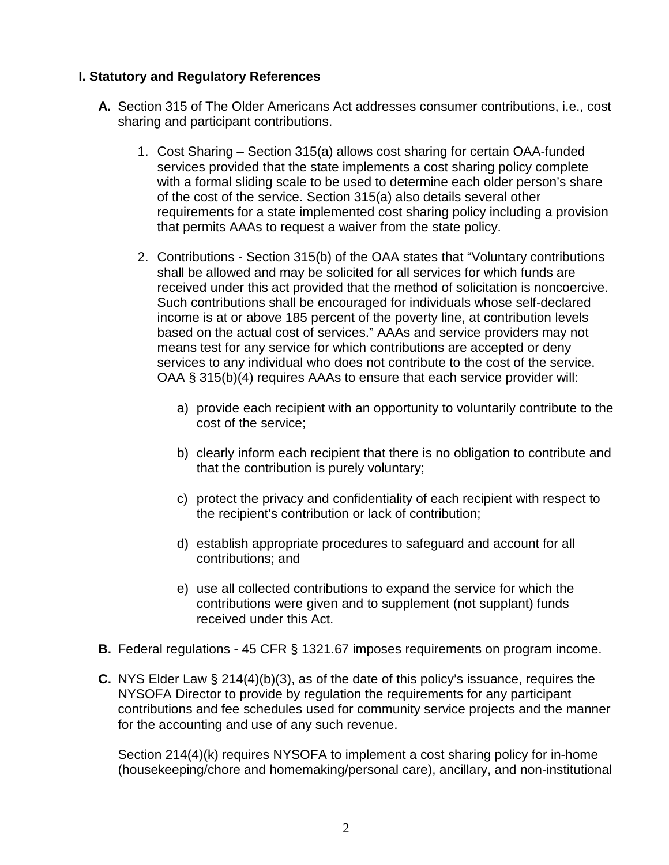### **I. Statutory and Regulatory References**

- **A.** Section 315 of The Older Americans Act addresses consumer contributions, i.e., cost sharing and participant contributions.
	- 1. Cost Sharing Section 315(a) allows cost sharing for certain OAA-funded services provided that the state implements a cost sharing policy complete with a formal sliding scale to be used to determine each older person's share of the cost of the service. Section 315(a) also details several other requirements for a state implemented cost sharing policy including a provision that permits AAAs to request a waiver from the state policy.
	- 2. Contributions Section 315(b) of the OAA states that "Voluntary contributions shall be allowed and may be solicited for all services for which funds are received under this act provided that the method of solicitation is noncoercive. Such contributions shall be encouraged for individuals whose self-declared income is at or above 185 percent of the poverty line, at contribution levels based on the actual cost of services." AAAs and service providers may not means test for any service for which contributions are accepted or deny services to any individual who does not contribute to the cost of the service. OAA § 315(b)(4) requires AAAs to ensure that each service provider will:
		- a) provide each recipient with an opportunity to voluntarily contribute to the cost of the service;
		- b) clearly inform each recipient that there is no obligation to contribute and that the contribution is purely voluntary;
		- c) protect the privacy and confidentiality of each recipient with respect to the recipient's contribution or lack of contribution;
		- d) establish appropriate procedures to safeguard and account for all contributions; and
		- e) use all collected contributions to expand the service for which the contributions were given and to supplement (not supplant) funds received under this Act.
- **B.** Federal regulations 45 CFR § 1321.67 imposes requirements on program income.
- **C.** NYS Elder Law § 214(4)(b)(3), as of the date of this policy's issuance, requires the NYSOFA Director to provide by regulation the requirements for any participant contributions and fee schedules used for community service projects and the manner for the accounting and use of any such revenue.

Section 214(4)(k) requires NYSOFA to implement a cost sharing policy for in-home (housekeeping/chore and homemaking/personal care), ancillary, and non-institutional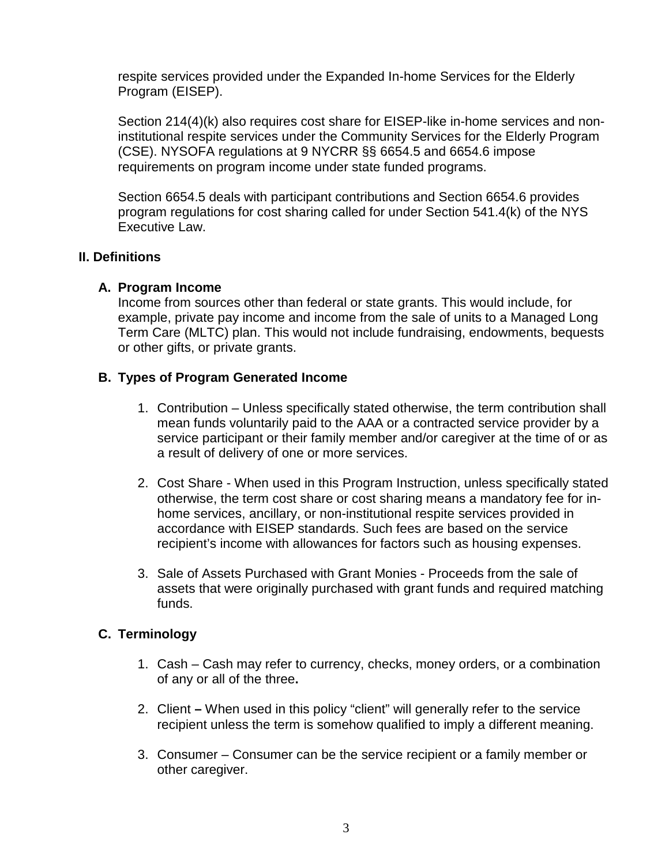respite services provided under the Expanded In-home Services for the Elderly Program (EISEP).

Section 214(4)(k) also requires cost share for EISEP-like in-home services and noninstitutional respite services under the Community Services for the Elderly Program (CSE). NYSOFA regulations at 9 NYCRR §§ 6654.5 and 6654.6 impose requirements on program income under state funded programs.

Section 6654.5 deals with participant contributions and Section 6654.6 provides program regulations for cost sharing called for under Section 541.4(k) of the NYS Executive Law.

### **II. Definitions**

### **A. Program Income**

Income from sources other than federal or state grants. This would include, for example, private pay income and income from the sale of units to a Managed Long Term Care (MLTC) plan. This would not include fundraising, endowments, bequests or other gifts, or private grants.

# **B. Types of Program Generated Income**

- 1. Contribution Unless specifically stated otherwise, the term contribution shall mean funds voluntarily paid to the AAA or a contracted service provider by a service participant or their family member and/or caregiver at the time of or as a result of delivery of one or more services.
- 2. Cost Share When used in this Program Instruction, unless specifically stated otherwise, the term cost share or cost sharing means a mandatory fee for inhome services, ancillary, or non-institutional respite services provided in accordance with EISEP standards. Such fees are based on the service recipient's income with allowances for factors such as housing expenses.
- 3. Sale of Assets Purchased with Grant Monies Proceeds from the sale of assets that were originally purchased with grant funds and required matching funds.

### **C. Terminology**

- 1. Cash Cash may refer to currency, checks, money orders, or a combination of any or all of the three**.**
- 2. Client **–** When used in this policy "client" will generally refer to the service recipient unless the term is somehow qualified to imply a different meaning.
- 3. Consumer Consumer can be the service recipient or a family member or other caregiver.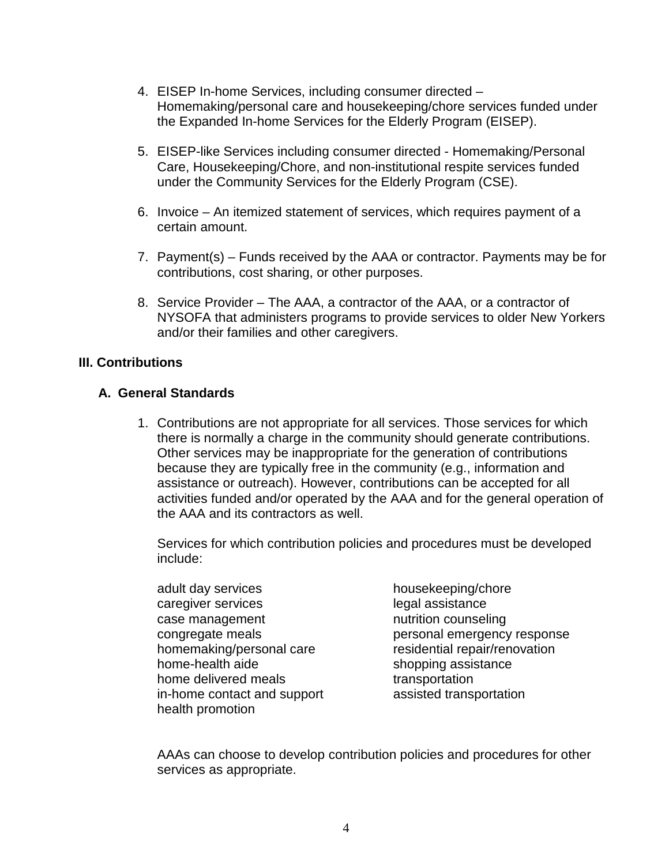- 4. EISEP In-home Services, including consumer directed Homemaking/personal care and housekeeping/chore services funded under the Expanded In-home Services for the Elderly Program (EISEP).
- 5. EISEP-like Services including consumer directed Homemaking/Personal Care, Housekeeping/Chore, and non-institutional respite services funded under the Community Services for the Elderly Program (CSE).
- 6. Invoice An itemized statement of services, which requires payment of a certain amount.
- 7. Payment(s) Funds received by the AAA or contractor. Payments may be for contributions, cost sharing, or other purposes.
- 8. Service Provider The AAA, a contractor of the AAA, or a contractor of NYSOFA that administers programs to provide services to older New Yorkers and/or their families and other caregivers.

#### **III. Contributions**

#### **A. General Standards**

1. Contributions are not appropriate for all services. Those services for which there is normally a charge in the community should generate contributions. Other services may be inappropriate for the generation of contributions because they are typically free in the community (e.g., information and assistance or outreach). However, contributions can be accepted for all activities funded and/or operated by the AAA and for the general operation of the AAA and its contractors as well.

Services for which contribution policies and procedures must be developed include:

- adult day services housekeeping/chore caregiver services and the services of the legal assistance case management nutrition counseling homemaking/personal care residential repair/renovation home-health aide shopping assistance home delivered meals transportation in-home contact and support assisted transportation health promotion
- congregate meals example response personal emergency response

AAAs can choose to develop contribution policies and procedures for other services as appropriate.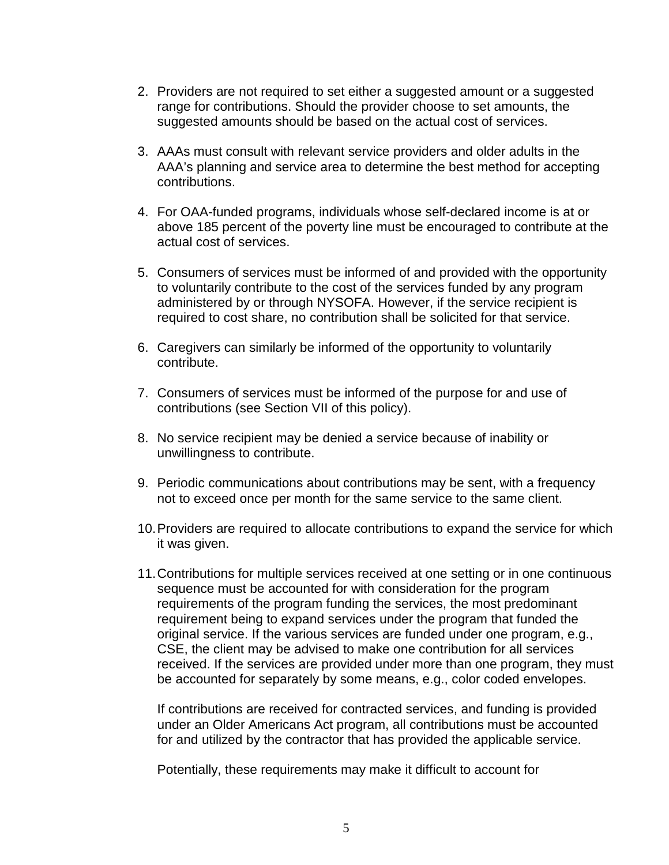- 2. Providers are not required to set either a suggested amount or a suggested range for contributions. Should the provider choose to set amounts, the suggested amounts should be based on the actual cost of services.
- 3. AAAs must consult with relevant service providers and older adults in the AAA's planning and service area to determine the best method for accepting contributions.
- 4. For OAA-funded programs, individuals whose self-declared income is at or above 185 percent of the poverty line must be encouraged to contribute at the actual cost of services.
- 5. Consumers of services must be informed of and provided with the opportunity to voluntarily contribute to the cost of the services funded by any program administered by or through NYSOFA. However, if the service recipient is required to cost share, no contribution shall be solicited for that service.
- 6. Caregivers can similarly be informed of the opportunity to voluntarily contribute.
- 7. Consumers of services must be informed of the purpose for and use of contributions (see Section VII of this policy).
- 8. No service recipient may be denied a service because of inability or unwillingness to contribute.
- 9. Periodic communications about contributions may be sent, with a frequency not to exceed once per month for the same service to the same client.
- 10.Providers are required to allocate contributions to expand the service for which it was given.
- 11.Contributions for multiple services received at one setting or in one continuous sequence must be accounted for with consideration for the program requirements of the program funding the services, the most predominant requirement being to expand services under the program that funded the original service. If the various services are funded under one program, e.g., CSE, the client may be advised to make one contribution for all services received. If the services are provided under more than one program, they must be accounted for separately by some means, e.g., color coded envelopes.

If contributions are received for contracted services, and funding is provided under an Older Americans Act program, all contributions must be accounted for and utilized by the contractor that has provided the applicable service.

Potentially, these requirements may make it difficult to account for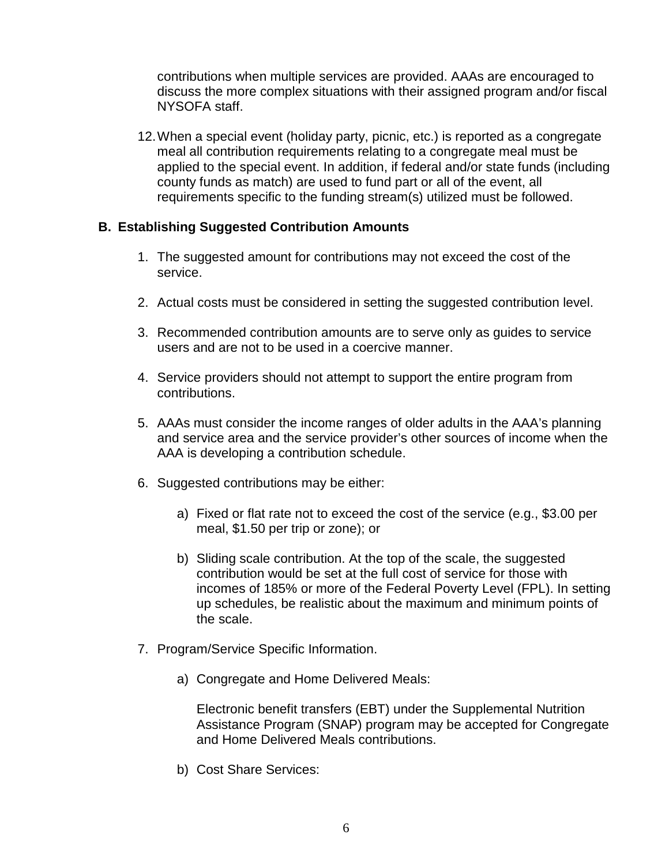contributions when multiple services are provided. AAAs are encouraged to discuss the more complex situations with their assigned program and/or fiscal NYSOFA staff.

12.When a special event (holiday party, picnic, etc.) is reported as a congregate meal all contribution requirements relating to a congregate meal must be applied to the special event. In addition, if federal and/or state funds (including county funds as match) are used to fund part or all of the event, all requirements specific to the funding stream(s) utilized must be followed.

### **B. Establishing Suggested Contribution Amounts**

- 1. The suggested amount for contributions may not exceed the cost of the service.
- 2. Actual costs must be considered in setting the suggested contribution level.
- 3. Recommended contribution amounts are to serve only as guides to service users and are not to be used in a coercive manner.
- 4. Service providers should not attempt to support the entire program from contributions.
- 5. AAAs must consider the income ranges of older adults in the AAA's planning and service area and the service provider's other sources of income when the AAA is developing a contribution schedule.
- 6. Suggested contributions may be either:
	- a) Fixed or flat rate not to exceed the cost of the service (e.g., \$3.00 per meal, \$1.50 per trip or zone); or
	- b) Sliding scale contribution. At the top of the scale, the suggested contribution would be set at the full cost of service for those with incomes of 185% or more of the Federal Poverty Level (FPL). In setting up schedules, be realistic about the maximum and minimum points of the scale.
- 7. Program/Service Specific Information.
	- a) Congregate and Home Delivered Meals:

Electronic benefit transfers (EBT) under the Supplemental Nutrition Assistance Program (SNAP) program may be accepted for Congregate and Home Delivered Meals contributions.

b) Cost Share Services: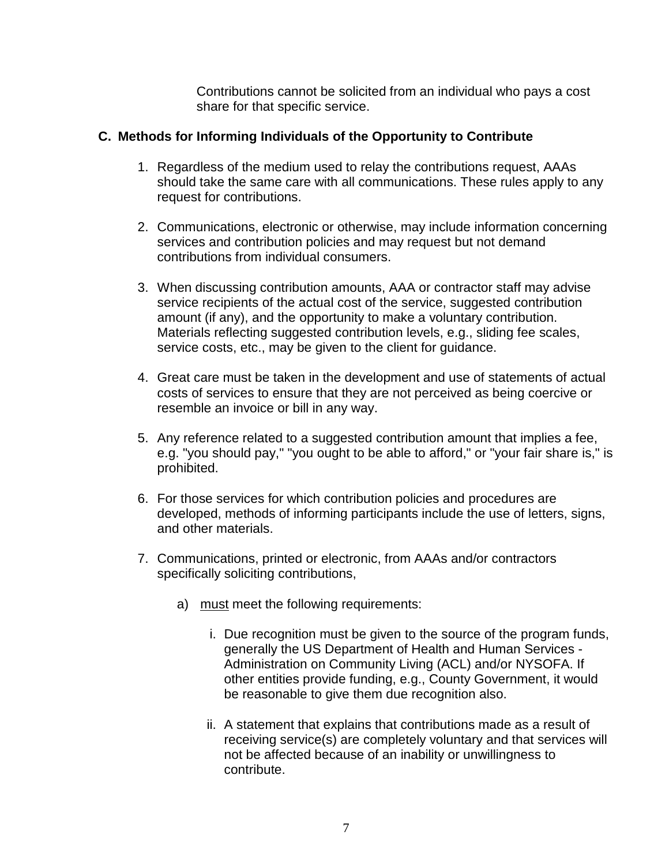Contributions cannot be solicited from an individual who pays a cost share for that specific service.

### **C. Methods for Informing Individuals of the Opportunity to Contribute**

- 1. Regardless of the medium used to relay the contributions request, AAAs should take the same care with all communications. These rules apply to any request for contributions.
- 2. Communications, electronic or otherwise, may include information concerning services and contribution policies and may request but not demand contributions from individual consumers.
- 3. When discussing contribution amounts, AAA or contractor staff may advise service recipients of the actual cost of the service, suggested contribution amount (if any), and the opportunity to make a voluntary contribution. Materials reflecting suggested contribution levels, e.g., sliding fee scales, service costs, etc., may be given to the client for guidance.
- 4. Great care must be taken in the development and use of statements of actual costs of services to ensure that they are not perceived as being coercive or resemble an invoice or bill in any way.
- 5. Any reference related to a suggested contribution amount that implies a fee, e.g. "you should pay," "you ought to be able to afford," or "your fair share is," is prohibited.
- 6. For those services for which contribution policies and procedures are developed, methods of informing participants include the use of letters, signs, and other materials.
- 7. Communications, printed or electronic, from AAAs and/or contractors specifically soliciting contributions,
	- a) must meet the following requirements:
		- i. Due recognition must be given to the source of the program funds, generally the US Department of Health and Human Services - Administration on Community Living (ACL) and/or NYSOFA. If other entities provide funding, e.g., County Government, it would be reasonable to give them due recognition also.
		- ii. A statement that explains that contributions made as a result of receiving service(s) are completely voluntary and that services will not be affected because of an inability or unwillingness to contribute.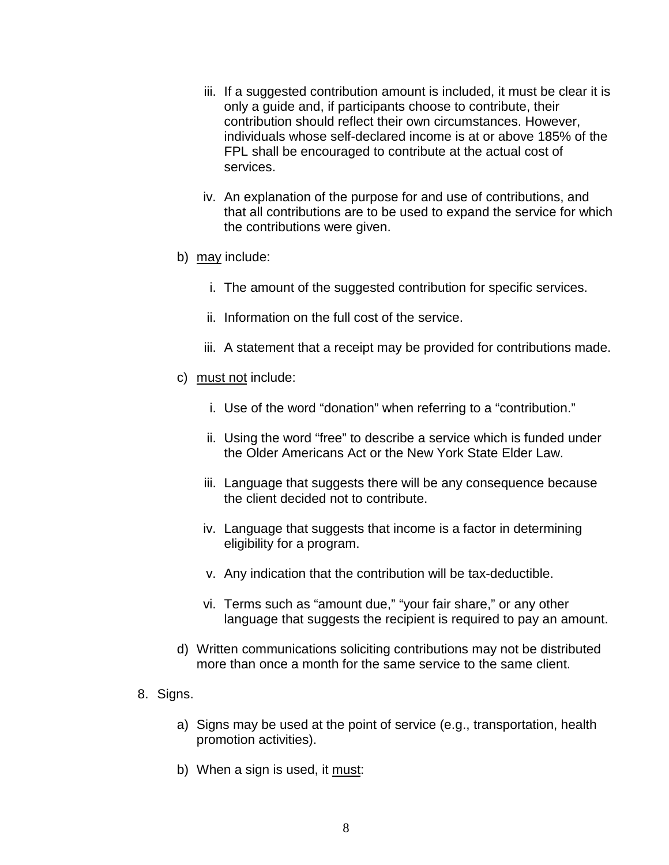- iii. If a suggested contribution amount is included, it must be clear it is only a guide and, if participants choose to contribute, their contribution should reflect their own circumstances. However, individuals whose self-declared income is at or above 185% of the FPL shall be encouraged to contribute at the actual cost of services.
- iv. An explanation of the purpose for and use of contributions, and that all contributions are to be used to expand the service for which the contributions were given.
- b) may include:
	- i. The amount of the suggested contribution for specific services.
	- ii. Information on the full cost of the service.
	- iii. A statement that a receipt may be provided for contributions made.
- c) must not include:
	- i. Use of the word "donation" when referring to a "contribution."
	- ii. Using the word "free" to describe a service which is funded under the Older Americans Act or the New York State Elder Law.
	- iii. Language that suggests there will be any consequence because the client decided not to contribute.
	- iv. Language that suggests that income is a factor in determining eligibility for a program.
	- v. Any indication that the contribution will be tax-deductible.
	- vi. Terms such as "amount due," "your fair share," or any other language that suggests the recipient is required to pay an amount.
- d) Written communications soliciting contributions may not be distributed more than once a month for the same service to the same client.
- 8. Signs.
	- a) Signs may be used at the point of service (e.g., transportation, health promotion activities).
	- b) When a sign is used, it must: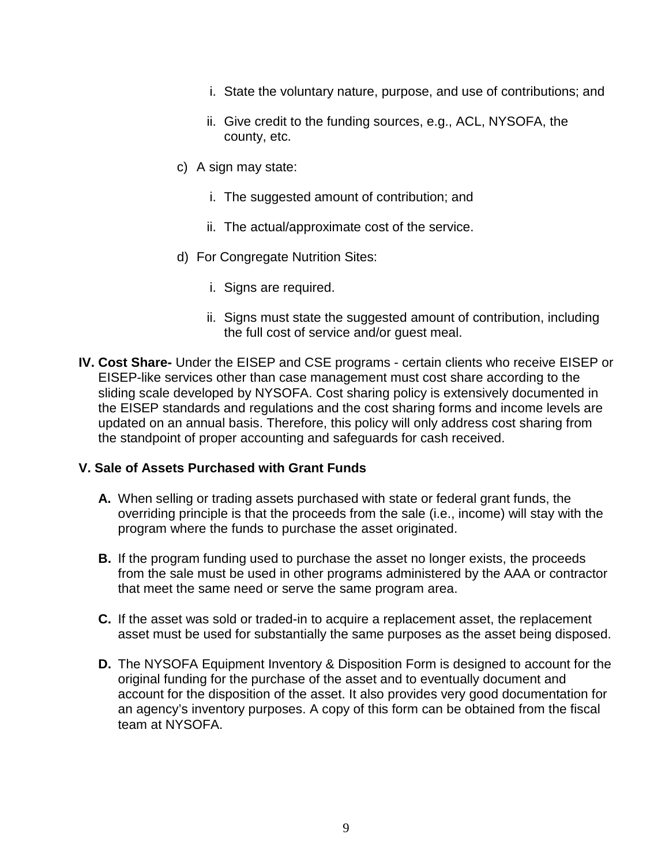- i. State the voluntary nature, purpose, and use of contributions; and
- ii. Give credit to the funding sources, e.g., ACL, NYSOFA, the county, etc.
- c) A sign may state:
	- i. The suggested amount of contribution; and
	- ii. The actual/approximate cost of the service.
- d) For Congregate Nutrition Sites:
	- i. Signs are required.
	- ii. Signs must state the suggested amount of contribution, including the full cost of service and/or guest meal.
- **IV. Cost Share-** Under the EISEP and CSE programs certain clients who receive EISEP or EISEP-like services other than case management must cost share according to the sliding scale developed by NYSOFA. Cost sharing policy is extensively documented in the EISEP standards and regulations and the cost sharing forms and income levels are updated on an annual basis. Therefore, this policy will only address cost sharing from the standpoint of proper accounting and safeguards for cash received.

### **V. Sale of Assets Purchased with Grant Funds**

- **A.** When selling or trading assets purchased with state or federal grant funds, the overriding principle is that the proceeds from the sale (i.e., income) will stay with the program where the funds to purchase the asset originated.
- **B.** If the program funding used to purchase the asset no longer exists, the proceeds from the sale must be used in other programs administered by the AAA or contractor that meet the same need or serve the same program area.
- **C.** If the asset was sold or traded-in to acquire a replacement asset, the replacement asset must be used for substantially the same purposes as the asset being disposed.
- **D.** The NYSOFA Equipment Inventory & Disposition Form is designed to account for the original funding for the purchase of the asset and to eventually document and account for the disposition of the asset. It also provides very good documentation for an agency's inventory purposes. A copy of this form can be obtained from the fiscal team at NYSOFA.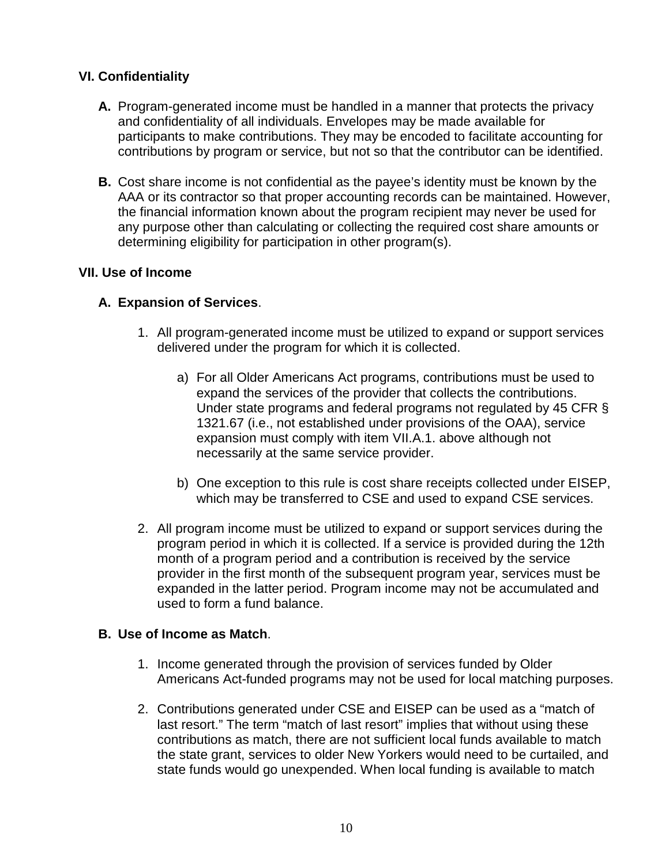# **VI. Confidentiality**

- **A.** Program-generated income must be handled in a manner that protects the privacy and confidentiality of all individuals. Envelopes may be made available for participants to make contributions. They may be encoded to facilitate accounting for contributions by program or service, but not so that the contributor can be identified.
- **B.** Cost share income is not confidential as the payee's identity must be known by the AAA or its contractor so that proper accounting records can be maintained. However, the financial information known about the program recipient may never be used for any purpose other than calculating or collecting the required cost share amounts or determining eligibility for participation in other program(s).

### **VII. Use of Income**

### **A. Expansion of Services**.

- 1. All program-generated income must be utilized to expand or support services delivered under the program for which it is collected.
	- a) For all Older Americans Act programs, contributions must be used to expand the services of the provider that collects the contributions. Under state programs and federal programs not regulated by 45 CFR § 1321.67 (i.e., not established under provisions of the OAA), service expansion must comply with item VII.A.1. above although not necessarily at the same service provider.
	- b) One exception to this rule is cost share receipts collected under EISEP, which may be transferred to CSE and used to expand CSE services.
- 2. All program income must be utilized to expand or support services during the program period in which it is collected. If a service is provided during the 12th month of a program period and a contribution is received by the service provider in the first month of the subsequent program year, services must be expanded in the latter period. Program income may not be accumulated and used to form a fund balance.

### **B. Use of Income as Match**.

- 1. Income generated through the provision of services funded by Older Americans Act-funded programs may not be used for local matching purposes.
- 2. Contributions generated under CSE and EISEP can be used as a "match of last resort." The term "match of last resort" implies that without using these contributions as match, there are not sufficient local funds available to match the state grant, services to older New Yorkers would need to be curtailed, and state funds would go unexpended. When local funding is available to match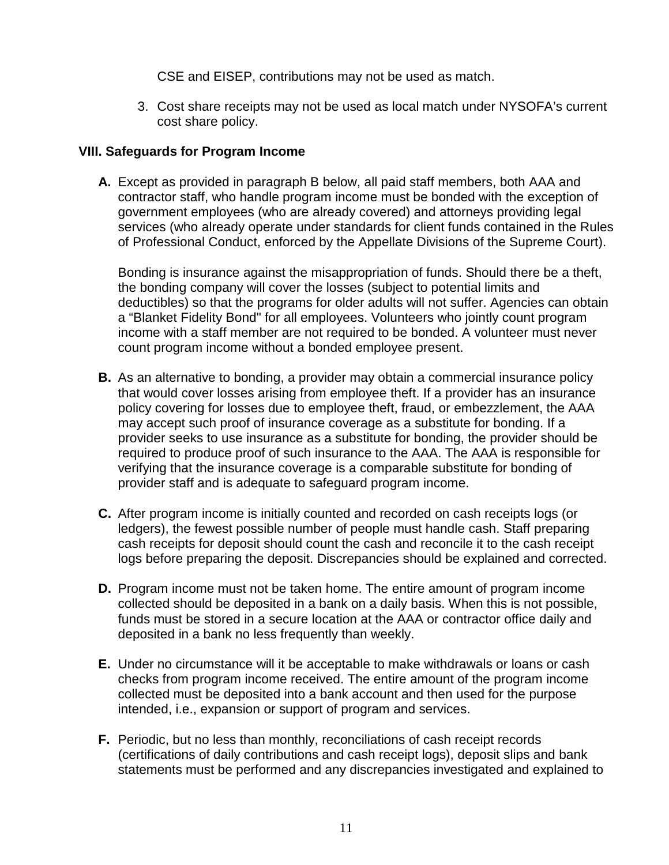CSE and EISEP, contributions may not be used as match.

3. Cost share receipts may not be used as local match under NYSOFA's current cost share policy.

#### **VIII. Safeguards for Program Income**

**A.** Except as provided in paragraph B below, all paid staff members, both AAA and contractor staff, who handle program income must be bonded with the exception of government employees (who are already covered) and attorneys providing legal services (who already operate under standards for client funds contained in the Rules of Professional Conduct, enforced by the Appellate Divisions of the Supreme Court).

Bonding is insurance against the misappropriation of funds. Should there be a theft, the bonding company will cover the losses (subject to potential limits and deductibles) so that the programs for older adults will not suffer. Agencies can obtain a "Blanket Fidelity Bond" for all employees. Volunteers who jointly count program income with a staff member are not required to be bonded. A volunteer must never count program income without a bonded employee present.

- **B.** As an alternative to bonding, a provider may obtain a commercial insurance policy that would cover losses arising from employee theft. If a provider has an insurance policy covering for losses due to employee theft, fraud, or embezzlement, the AAA may accept such proof of insurance coverage as a substitute for bonding. If a provider seeks to use insurance as a substitute for bonding, the provider should be required to produce proof of such insurance to the AAA. The AAA is responsible for verifying that the insurance coverage is a comparable substitute for bonding of provider staff and is adequate to safeguard program income.
- **C.** After program income is initially counted and recorded on cash receipts logs (or ledgers), the fewest possible number of people must handle cash. Staff preparing cash receipts for deposit should count the cash and reconcile it to the cash receipt logs before preparing the deposit. Discrepancies should be explained and corrected.
- **D.** Program income must not be taken home. The entire amount of program income collected should be deposited in a bank on a daily basis. When this is not possible, funds must be stored in a secure location at the AAA or contractor office daily and deposited in a bank no less frequently than weekly.
- **E.** Under no circumstance will it be acceptable to make withdrawals or loans or cash checks from program income received. The entire amount of the program income collected must be deposited into a bank account and then used for the purpose intended, i.e., expansion or support of program and services.
- **F.** Periodic, but no less than monthly, reconciliations of cash receipt records (certifications of daily contributions and cash receipt logs), deposit slips and bank statements must be performed and any discrepancies investigated and explained to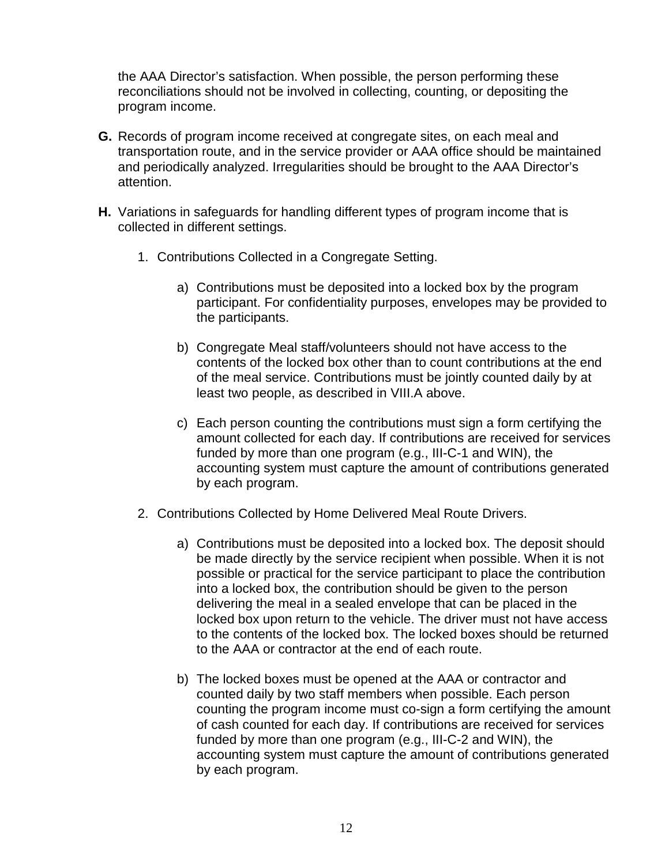the AAA Director's satisfaction. When possible, the person performing these reconciliations should not be involved in collecting, counting, or depositing the program income.

- **G.** Records of program income received at congregate sites, on each meal and transportation route, and in the service provider or AAA office should be maintained and periodically analyzed. Irregularities should be brought to the AAA Director's attention.
- **H.** Variations in safeguards for handling different types of program income that is collected in different settings.
	- 1. Contributions Collected in a Congregate Setting.
		- a) Contributions must be deposited into a locked box by the program participant. For confidentiality purposes, envelopes may be provided to the participants.
		- b) Congregate Meal staff/volunteers should not have access to the contents of the locked box other than to count contributions at the end of the meal service. Contributions must be jointly counted daily by at least two people, as described in VIII.A above.
		- c) Each person counting the contributions must sign a form certifying the amount collected for each day. If contributions are received for services funded by more than one program (e.g., III-C-1 and WIN), the accounting system must capture the amount of contributions generated by each program.
	- 2. Contributions Collected by Home Delivered Meal Route Drivers.
		- a) Contributions must be deposited into a locked box. The deposit should be made directly by the service recipient when possible. When it is not possible or practical for the service participant to place the contribution into a locked box, the contribution should be given to the person delivering the meal in a sealed envelope that can be placed in the locked box upon return to the vehicle. The driver must not have access to the contents of the locked box. The locked boxes should be returned to the AAA or contractor at the end of each route.
		- b) The locked boxes must be opened at the AAA or contractor and counted daily by two staff members when possible. Each person counting the program income must co-sign a form certifying the amount of cash counted for each day. If contributions are received for services funded by more than one program (e.g., III-C-2 and WIN), the accounting system must capture the amount of contributions generated by each program.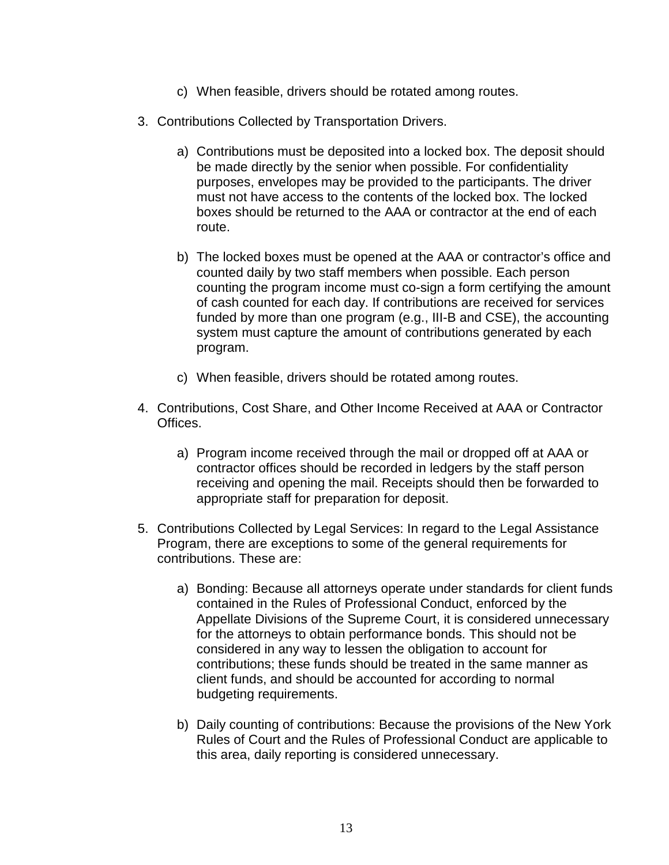- c) When feasible, drivers should be rotated among routes.
- 3. Contributions Collected by Transportation Drivers.
	- a) Contributions must be deposited into a locked box. The deposit should be made directly by the senior when possible. For confidentiality purposes, envelopes may be provided to the participants. The driver must not have access to the contents of the locked box. The locked boxes should be returned to the AAA or contractor at the end of each route.
	- b) The locked boxes must be opened at the AAA or contractor's office and counted daily by two staff members when possible. Each person counting the program income must co-sign a form certifying the amount of cash counted for each day. If contributions are received for services funded by more than one program (e.g., III-B and CSE), the accounting system must capture the amount of contributions generated by each program.
	- c) When feasible, drivers should be rotated among routes.
- 4. Contributions, Cost Share, and Other Income Received at AAA or Contractor Offices.
	- a) Program income received through the mail or dropped off at AAA or contractor offices should be recorded in ledgers by the staff person receiving and opening the mail. Receipts should then be forwarded to appropriate staff for preparation for deposit.
- 5. Contributions Collected by Legal Services: In regard to the Legal Assistance Program, there are exceptions to some of the general requirements for contributions. These are:
	- a) Bonding: Because all attorneys operate under standards for client funds contained in the Rules of Professional Conduct, enforced by the Appellate Divisions of the Supreme Court, it is considered unnecessary for the attorneys to obtain performance bonds. This should not be considered in any way to lessen the obligation to account for contributions; these funds should be treated in the same manner as client funds, and should be accounted for according to normal budgeting requirements.
	- b) Daily counting of contributions: Because the provisions of the New York Rules of Court and the Rules of Professional Conduct are applicable to this area, daily reporting is considered unnecessary.